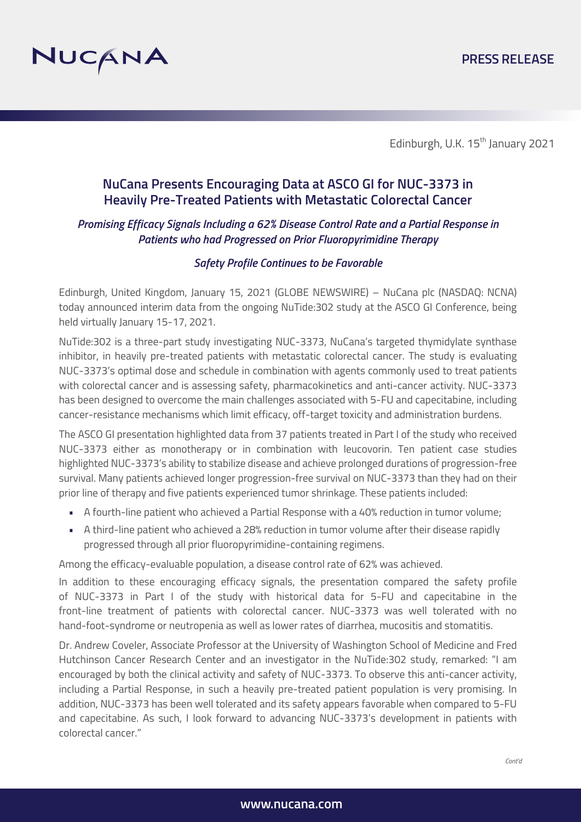

Edinburgh, U.K. 15<sup>th</sup> January 2021

## **NuCana Presents Encouraging Data at ASCO GI for NUC-3373 in Heavily Pre-Treated Patients with Metastatic Colorectal Cancer**

#### *Promising Efficacy Signals Including a 62% Disease Control Rate and a Partial Response in Patients who had Progressed on Prior Fluoropyrimidine Therapy*

#### *Safety Profile Continues to be Favorable*

Edinburgh, United Kingdom, January 15, 2021 (GLOBE NEWSWIRE) – NuCana plc (NASDAQ: NCNA) today announced interim data from the ongoing NuTide:302 study at the ASCO GI Conference, being held virtually January 15-17, 2021.

NuTide:302 is a three-part study investigating NUC-3373, NuCana's targeted thymidylate synthase inhibitor, in heavily pre-treated patients with metastatic colorectal cancer. The study is evaluating NUC-3373's optimal dose and schedule in combination with agents commonly used to treat patients with colorectal cancer and is assessing safety, pharmacokinetics and anti-cancer activity. NUC-3373 has been designed to overcome the main challenges associated with 5-FU and capecitabine, including cancer-resistance mechanisms which limit efficacy, off-target toxicity and administration burdens.

The ASCO GI presentation highlighted data from 37 patients treated in Part I of the study who received NUC-3373 either as monotherapy or in combination with leucovorin. Ten patient case studies highlighted NUC-3373's ability to stabilize disease and achieve prolonged durations of progression-free survival. Many patients achieved longer progression-free survival on NUC-3373 than they had on their prior line of therapy and five patients experienced tumor shrinkage. These patients included:

- A fourth-line patient who achieved a Partial Response with a 40% reduction in tumor volume;
- A third-line patient who achieved a 28% reduction in tumor volume after their disease rapidly progressed through all prior fluoropyrimidine-containing regimens.

Among the efficacy-evaluable population, a disease control rate of 62% was achieved.

In addition to these encouraging efficacy signals, the presentation compared the safety profile of NUC-3373 in Part I of the study with historical data for 5-FU and capecitabine in the front-line treatment of patients with colorectal cancer. NUC-3373 was well tolerated with no hand-foot-syndrome or neutropenia as well as lower rates of diarrhea, mucositis and stomatitis.

Dr. Andrew Coveler, Associate Professor at the University of Washington School of Medicine and Fred Hutchinson Cancer Research Center and an investigator in the NuTide:302 study, remarked: "I am encouraged by both the clinical activity and safety of NUC-3373. To observe this anti-cancer activity, including a Partial Response, in such a heavily pre-treated patient population is very promising. In addition, NUC-3373 has been well tolerated and its safety appears favorable when compared to 5-FU and capecitabine. As such, I look forward to advancing NUC-3373's development in patients with colorectal cancer."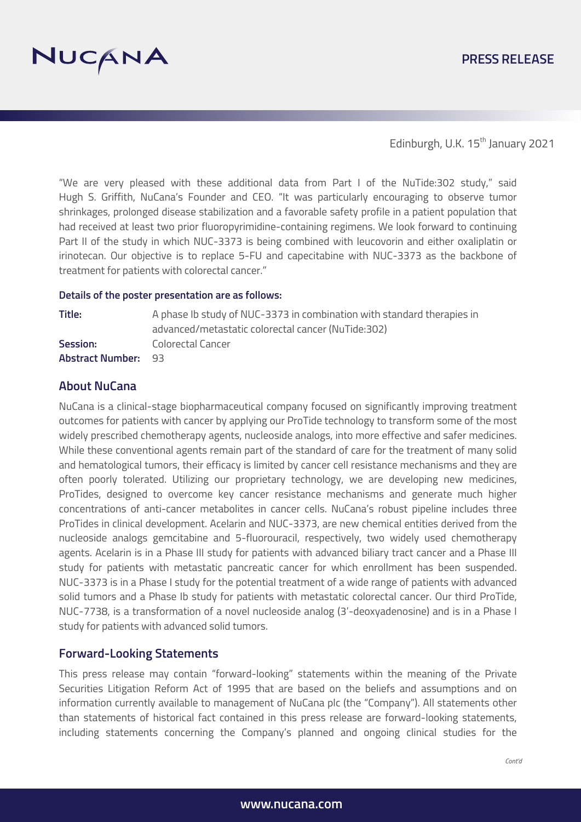

Edinburgh, U.K. 15<sup>th</sup> January 2021

"We are very pleased with these additional data from Part I of the NuTide:302 study," said Hugh S. Griffith, NuCana's Founder and CEO. "It was particularly encouraging to observe tumor shrinkages, prolonged disease stabilization and a favorable safety profile in a patient population that had received at least two prior fluoropyrimidine-containing regimens. We look forward to continuing Part II of the study in which NUC-3373 is being combined with leucovorin and either oxaliplatin or irinotecan. Our objective is to replace 5-FU and capecitabine with NUC-3373 as the backbone of treatment for patients with colorectal cancer."

#### **Details of the poster presentation are as follows:**

| Title:                     | A phase Ib study of NUC-3373 in combination with standard therapies in |
|----------------------------|------------------------------------------------------------------------|
|                            | advanced/metastatic colorectal cancer (NuTide:302)                     |
| Session:                   | Colorectal Cancer                                                      |
| <b>Abstract Number: 93</b> |                                                                        |

#### **About NuCana**

NuCana is a clinical-stage biopharmaceutical company focused on significantly improving treatment outcomes for patients with cancer by applying our ProTide technology to transform some of the most widely prescribed chemotherapy agents, nucleoside analogs, into more effective and safer medicines. While these conventional agents remain part of the standard of care for the treatment of many solid and hematological tumors, their efficacy is limited by cancer cell resistance mechanisms and they are often poorly tolerated. Utilizing our proprietary technology, we are developing new medicines, ProTides, designed to overcome key cancer resistance mechanisms and generate much higher concentrations of anti-cancer metabolites in cancer cells. NuCana's robust pipeline includes three ProTides in clinical development. Acelarin and NUC-3373, are new chemical entities derived from the nucleoside analogs gemcitabine and 5-fluorouracil, respectively, two widely used chemotherapy agents. Acelarin is in a Phase III study for patients with advanced biliary tract cancer and a Phase III study for patients with metastatic pancreatic cancer for which enrollment has been suspended. NUC-3373 is in a Phase I study for the potential treatment of a wide range of patients with advanced solid tumors and a Phase Ib study for patients with metastatic colorectal cancer. Our third ProTide, NUC-7738, is a transformation of a novel nucleoside analog (3'-deoxyadenosine) and is in a Phase I study for patients with advanced solid tumors.

### **Forward-Looking Statements**

This press release may contain "forward-looking" statements within the meaning of the Private Securities Litigation Reform Act of 1995 that are based on the beliefs and assumptions and on information currently available to management of NuCana plc (the "Company"). All statements other than statements of historical fact contained in this press release are forward-looking statements, including statements concerning the Company's planned and ongoing clinical studies for the